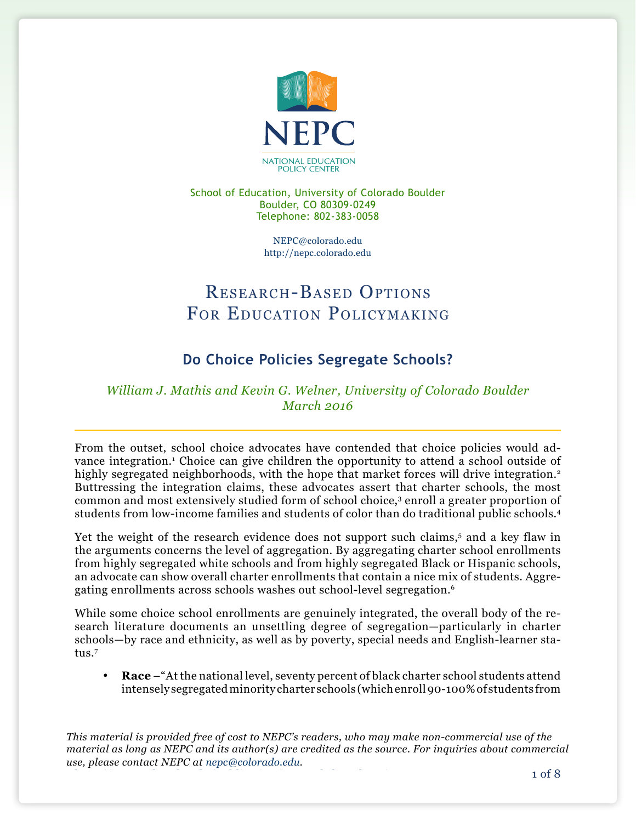

School of Education, University of Colorado Boulder Boulder, CO 80309-0249 Telephone: 802-383-0058

> [NEPC@colorado.edu](mailto:NEPC@colorado.edu) <http://nepc.colorado.edu>

# Research-Based Options FOR EDUCATION POLICYMAKING

## **Do Choice Policies Segregate Schools?**

### *William J. Mathis and Kevin G. Welner, University of Colorado Boulder March 2016*

From the outset, school choice advocates have contended that choice policies would advance integration.<sup>1</sup> Choice can give children the opportunity to attend a school outside of highly segregated neighborhoods, with the hope that market forces will drive integration.<sup>2</sup> Buttressing the integration claims, these advocates assert that charter schools, the most common and most extensively studied form of school choice,3 enroll a greater proportion of students from low-income families and students of color than do traditional public schools.4

Yet the weight of the research evidence does not support such claims,<sup>5</sup> and a key flaw in the arguments concerns the level of aggregation. By aggregating charter school enrollments from highly segregated white schools and from highly segregated Black or Hispanic schools, an advocate can show overall charter enrollments that contain a nice mix of students. Aggregating enrollments across schools washes out school-level segregation.<sup>6</sup>

While some choice school enrollments are genuinely integrated, the overall body of the research literature documents an unsettling degree of segregation—particularly in charter schools—by race and ethnicity, as well as by poverty, special needs and English-learner status.7

• **Race** –"At the national level, seventy percent of black charter school students attend intensely segregated minority charter schools (which enroll 90-100% of students from

*This material is provided free of cost to NEPC's readers, who may make non-commercial use of the material as long as NEPC and its author(s) are credited as the source. For inquiries about commercial use, please contact NEPC at [nepc@colorado.edu.](mailto:nepc@colorado.edu)*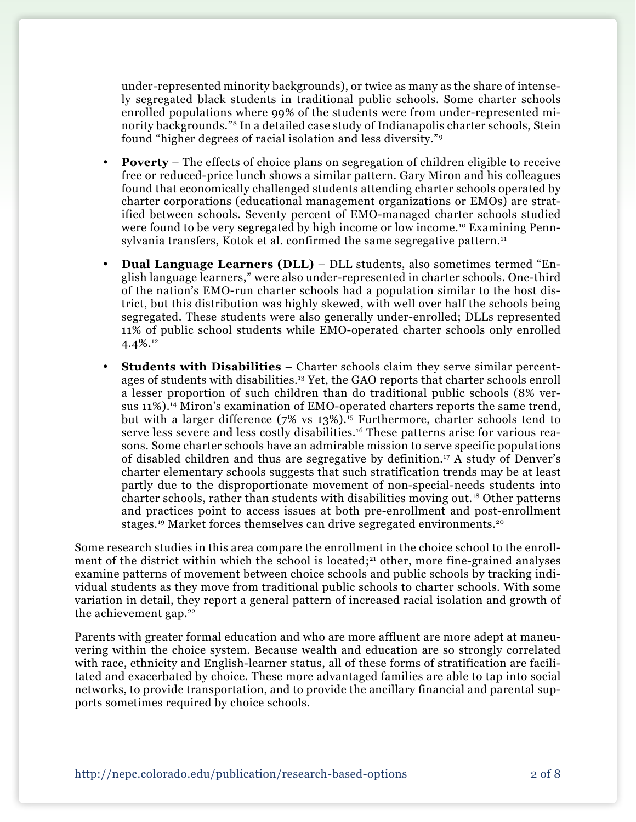under-represented minority backgrounds), or twice as many as the share of intensely segregated black students in traditional public schools. Some charter schools enrolled populations where 99% of the students were from under-represented minority backgrounds."8 In a detailed case study of Indianapolis charter schools, Stein found "higher degrees of racial isolation and less diversity."9

- **Poverty** The effects of choice plans on segregation of children eligible to receive free or reduced-price lunch shows a similar pattern. Gary Miron and his colleagues found that economically challenged students attending charter schools operated by charter corporations (educational management organizations or EMOs) are stratified between schools. Seventy percent of EMO-managed charter schools studied were found to be very segregated by high income or low income.10 Examining Pennsylvania transfers, Kotok et al. confirmed the same segregative pattern.<sup>11</sup>
- **Dual Language Learners (DLL)** DLL students, also sometimes termed "English language learners," were also under-represented in charter schools. One-third of the nation's EMO-run charter schools had a population similar to the host district, but this distribution was highly skewed, with well over half the schools being segregated. These students were also generally under-enrolled; DLLs represented 11% of public school students while EMO-operated charter schools only enrolled 4.4%.12
- **Students with Disabilities** Charter schools claim they serve similar percentages of students with disabilities.13 Yet, the GAO reports that charter schools enroll a lesser proportion of such children than do traditional public schools (8% versus 11%).14 Miron's examination of EMO-operated charters reports the same trend, but with a larger difference (7% vs 13%).15 Furthermore, charter schools tend to serve less severe and less costly disabilities.<sup>16</sup> These patterns arise for various reasons. Some charter schools have an admirable mission to serve specific populations of disabled children and thus are segregative by definition.17 A study of Denver's charter elementary schools suggests that such stratification trends may be at least partly due to the disproportionate movement of non-special-needs students into charter schools, rather than students with disabilities moving out.18 Other patterns and practices point to access issues at both pre-enrollment and post-enrollment stages.<sup>19</sup> Market forces themselves can drive segregated environments.<sup>20</sup>

Some research studies in this area compare the enrollment in the choice school to the enrollment of the district within which the school is located;<sup>21</sup> other, more fine-grained analyses examine patterns of movement between choice schools and public schools by tracking individual students as they move from traditional public schools to charter schools. With some variation in detail, they report a general pattern of increased racial isolation and growth of the achievement gap. $22$ 

Parents with greater formal education and who are more affluent are more adept at maneuvering within the choice system. Because wealth and education are so strongly correlated with race, ethnicity and English-learner status, all of these forms of stratification are facilitated and exacerbated by choice. These more advantaged families are able to tap into social networks, to provide transportation, and to provide the ancillary financial and parental supports sometimes required by choice schools.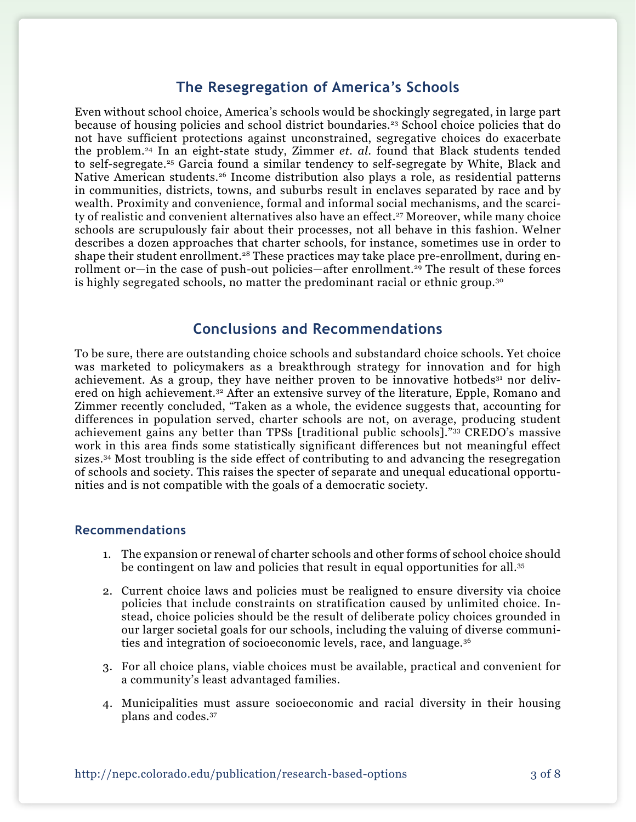### **The Resegregation of America's Schools**

Even without school choice, America's schools would be shockingly segregated, in large part because of housing policies and school district boundaries.23 School choice policies that do not have sufficient protections against unconstrained, segregative choices do exacerbate the problem.24 In an eight-state study, Zimmer *et. al.* found that Black students tended to self-segregate.25 Garcia found a similar tendency to self-segregate by White, Black and Native American students.26 Income distribution also plays a role, as residential patterns in communities, districts, towns, and suburbs result in enclaves separated by race and by wealth. Proximity and convenience, formal and informal social mechanisms, and the scarcity of realistic and convenient alternatives also have an effect.<sup>27</sup> Moreover, while many choice schools are scrupulously fair about their processes, not all behave in this fashion. Welner describes a dozen approaches that charter schools, for instance, sometimes use in order to shape their student enrollment.<sup>28</sup> These practices may take place pre-enrollment, during enrollment or—in the case of push-out policies—after enrollment.<sup>29</sup> The result of these forces is highly segregated schools, no matter the predominant racial or ethnic group.30

#### **Conclusions and Recommendations**

To be sure, there are outstanding choice schools and substandard choice schools. Yet choice was marketed to policymakers as a breakthrough strategy for innovation and for high achievement. As a group, they have neither proven to be innovative hotbeds<sup>31</sup> nor delivered on high achievement.32 After an extensive survey of the literature, Epple, Romano and Zimmer recently concluded, "Taken as a whole, the evidence suggests that, accounting for differences in population served, charter schools are not, on average, producing student achievement gains any better than TPSs [traditional public schools]."33 CREDO's massive work in this area finds some statistically significant differences but not meaningful effect sizes.34 Most troubling is the side effect of contributing to and advancing the resegregation of schools and society. This raises the specter of separate and unequal educational opportunities and is not compatible with the goals of a democratic society.

#### **Recommendations**

- 1. The expansion or renewal of charter schools and other forms of school choice should be contingent on law and policies that result in equal opportunities for all.35
- 2. Current choice laws and policies must be realigned to ensure diversity via choice policies that include constraints on stratification caused by unlimited choice. Instead, choice policies should be the result of deliberate policy choices grounded in our larger societal goals for our schools, including the valuing of diverse communities and integration of socioeconomic levels, race, and language.36
- 3. For all choice plans, viable choices must be available, practical and convenient for a community's least advantaged families.
- 4. Municipalities must assure socioeconomic and racial diversity in their housing plans and codes.37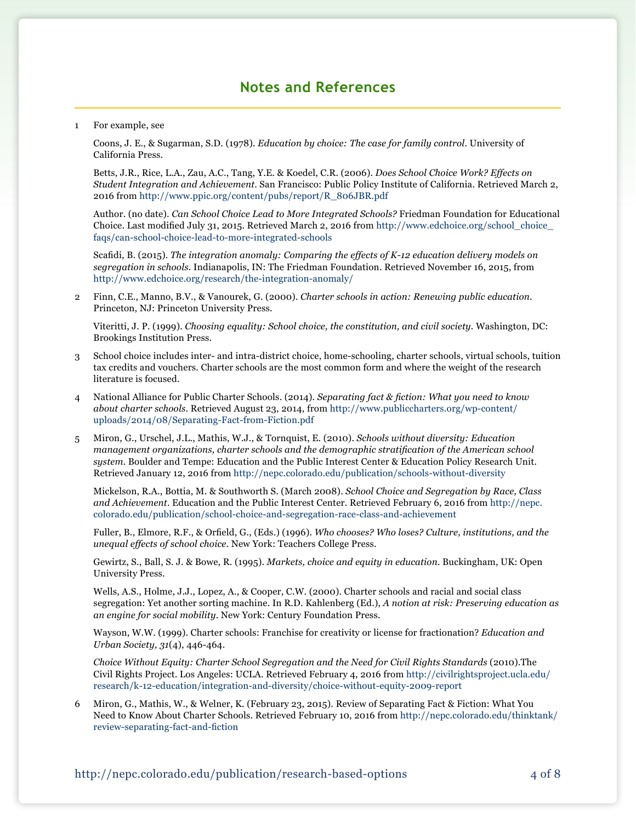### **Notes and References**

1 For example, see

Coons, J. E., & Sugarman, S.D. (1978). *Education by choice: The case for family control*. University of California Press.

Betts, J.R., Rice, L.A., Zau, A.C., Tang, Y.E. & Koedel, C.R. (2006). *Does School Choice Work? Effects on Student Integration and Achievement*. San Francisco: Public Policy Institute of California. Retrieved March 2, 2016 from [http://www.ppic.org/content/pubs/report/R\\_806JBR.pdf](http://www.ppic.org/content/pubs/report/R_806JBR.pdf)

Author. (no date). *Can School Choice Lead to More Integrated Schools?* Friedman Foundation for Educational Choice. Last modified July 31, 2015. Retrieved March 2, 2016 from [http://www.edchoice.org/school\\_choice\\_](http://www.edchoice.org/school_choice_faqs/can) [faqs/can](http://www.edchoice.org/school_choice_faqs/can)-school-choice-lead-to-more-integrated-schools

Scafidi, B. (2015). *The integration anomaly: Comparing the effects of K-12 education delivery models on segregation in schools.* Indianapolis, IN: The Friedman Foundation. Retrieved November 16, 2015, from [http://www.edchoice.org/research/the-](http://www.edchoice.org/research/the)integration-anomaly/

2 Finn, C.E., Manno, B.V., & Vanourek, G. (2000). *Charter schools in action: Renewing public education*. Princeton, NJ: Princeton University Press.

Viteritti, J. P. (1999). *Choosing equality: School choice, the constitution, and civil society.* Washington, DC: Brookings Institution Press.

- 3 School choice includes inter- and intra-district choice, home-schooling, charter schools, virtual schools, tuition tax credits and vouchers. Charter schools are the most common form and where the weight of the research literature is focused.
- 4 National Alliance for Public Charter Schools. (2014). *Separating fact & fiction: What you need to know about charter schools*. Retrieved August 23, 2014, from [http://www.publiccharters.org/wp-content/](http://www.publiccharters.org/wp-content/uploads/2014/08/Separating-Fact-from-Fiction.pdf) [uploads/2014/08/Separating-Fact-from-Fiction.pdf](http://www.publiccharters.org/wp-content/uploads/2014/08/Separating-Fact-from-Fiction.pdf)
- 5 Miron, G., Urschel, J.L., Mathis, W.J., & Tornquist, E. (2010). *Schools without diversity: Education management organizations, charter schools and the demographic stratification of the American school system*. Boulder and Tempe: Education and the Public Interest Center & Education Policy Research Unit. Retrieved January 12, 2016 from [http://nepc.colorado.edu/publication/schools](http://nepc.colorado.edu/publication/schools-without-diversity)-without-diversity

Mickelson, R.A., Bottia, M. & Southworth S. (March 2008). *School Choice and Segregation by Race, Class and Achievement*. Education and the Public Interest Center. Retrieved February 6, 2016 from [http://nepc.](http://nepc.colorado.edu/publication/school-choice-and-segregation-race-class-and-achievement) [colorado.edu/publication/school-](http://nepc.colorado.edu/publication/school-choice-and-segregation-race-class-and-achievement)choice-and-segregation-race-class-and-achievement

Fuller, B., Elmore, R.F., & Orfield, G., (Eds.) (1996). *Who chooses? Who loses? Culture, institutions, and the unequal effects of school choice.* New York: Teachers College Press.

Gewirtz, S., Ball, S. J. & Bowe, R. (1995). *Markets, choice and equity in education.* Buckingham, UK: Open University Press.

Wells, A.S., Holme, J.J., Lopez, A., & Cooper, C.W. (2000). Charter schools and racial and social class segregation: Yet another sorting machine. In R.D. Kahlenberg (Ed.), *A notion at risk: Preserving education as an engine for social mobility*. New York: Century Foundation Press.

Wayson, W.W. (1999). Charter schools: Franchise for creativity or license for fractionation? *Education and Urban Society, 31*(4), 446-464.

*Choice Without Equity: Charter School Segregation and the Need for Civil Rights Standards* (2010).The Civil Rights Project. Los Angeles: UCLA. Retrieved February 4, 2016 from [http://civilrightsproject.ucla.edu/](http://civilrightsproject.ucla.edu/research/k-12-education/integration-and-diversity/choice-without-equity-2009-report) [research/k-12-education/integration-and-diversity/choice](http://civilrightsproject.ucla.edu/research/k-12-education/integration-and-diversity/choice-without-equity-2009-report)-without-equity-2009-report

6 [Miron](http://nepc.colorado.edu/author/miron-gary-0), G., [Mathis](http://nepc.colorado.edu/author/mathis-william-j), W., & [Welner,](http://nepc.colorado.edu/author/welner-kevin-g) K. (February 23, 2015). Review of [Separating Fact & Fiction: What You](file:http://nepc.colorado.edu/thinktank/review-separating-fact-and-fiction)  [Need to Know About Charter Schools. Retrieved February 10, 2016 from http://nepc.colorado.edu/thinktank/](file:http://nepc.colorado.edu/thinktank/review-separating-fact-and-fiction) [review-separating-fact-and-fiction](file:http://nepc.colorado.edu/thinktank/review-separating-fact-and-fiction)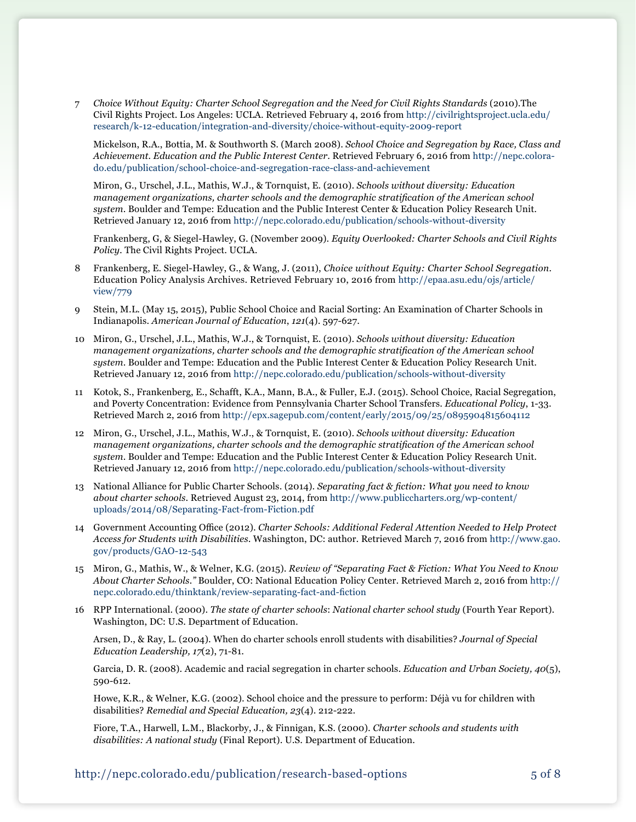7 *Choice Without Equity: Charter School Segregation and the Need for Civil Rights Standards* (2010).The Civil Rights Project. Los Angeles: UCLA. Retrieved February 4, 2016 from [http://civilrightsproject.ucla.edu/](http://civilrightsproject.ucla.edu/research/k-12-education/integration-and-diversity/choice-without-equity-2009-report) [research/k-12-education/integration-and-diversity/choice](http://civilrightsproject.ucla.edu/research/k-12-education/integration-and-diversity/choice-without-equity-2009-report)-without-equity-2009-report

Mickelson, R.A., Bottia, M. & Southworth S. (March 2008). *School Choice and Segregation by Race, Class and Achievement. Education and the Public Interest Center*. Retrieved February 6, 2016 from [http://nepc.colora](http://nepc.colorado.edu/publication/school-choice-and-segregation-race-class-and-achievement
)[do.edu/publication/school-](http://nepc.colorado.edu/publication/school-choice-and-segregation-race-class-and-achievement
)choice-and-segregation-race-class-and-achievement

Miron, G., Urschel, J.L., Mathis, W.J., & Tornquist, E. (2010). *Schools without diversity: Education management organizations, charter schools and the demographic stratification of the American school system*. Boulder and Tempe: Education and the Public Interest Center & Education Policy Research Unit. Retrieved January 12, 2016 from [http://nepc.colorado.edu/publication/schools](http://nepc.colorado.edu/publication/schools-without-diversity)-without-diversity

Frankenberg, G, & Siegel-Hawley, G. (November 2009). *Equity Overlooked: Charter Schools and Civil Rights Policy.* The Civil Rights Project. UCLA.

- 8 Frankenberg, E. Siegel-Hawley, G., & Wang, J. (2011), *Choice without Equity: Charter School Segregation.* Education Policy Analysis Archives. Retrieved February 10, 2016 from [http://epaa.asu.edu/ojs/article/](http://epaa.asu.edu/ojs/article/view/779) [view/779](http://epaa.asu.edu/ojs/article/view/779)
- 9 Stein, M.L. (May 15, 2015), Public School Choice and Racial Sorting: An Examination of Charter Schools in Indianapolis. *American Journal of Education*, *121*(4). 597-627.
- 10 Miron, G., Urschel, J.L., Mathis, W.J., & Tornquist, E. (2010). *Schools without diversity: Education management organizations, charter schools and the demographic stratification of the American school system*. Boulder and Tempe: Education and the Public Interest Center & Education Policy Research Unit. Retrieved January 12, 2016 from [http://nepc.colorado.edu/publication/schools](http://nepc.colorado.edu/publication/schools-without-diversity)-without-diversity
- 11 Kotok, S., Frankenberg, E., Schafft, K.A., Mann, B.A., & Fuller, E.J. (2015). School Choice, Racial Segregation, and Poverty Concentration: Evidence from Pennsylvania Charter School Transfers. *Educational Policy*, 1-33. Retrieved March 2, 2016 from<http://epx.sagepub.com/content/early/2015/09/25/0895904815604112>
- 12 Miron, G., Urschel, J.L., Mathis, W.J., & Tornquist, E. (2010). *Schools without diversity: Education management organizations, charter schools and the demographic stratification of the American school system*. Boulder and Tempe: Education and the Public Interest Center & Education Policy Research Unit. Retrieved January 12, 2016 from [http://nepc.colorado.edu/publication/schools](http://nepc.colorado.edu/publication/schools-without-diversity)-without-diversity
- 13 National Alliance for Public Charter Schools. (2014). *Separating fact & fiction: What you need to know about charter schools*. Retrieved August 23, 2014, from [http://www.publiccharters.org/wp-content/](http://www.publiccharters.org/wp-content/uploads/2014/08/Separating-Fact-from-Fiction.pdf) [uploads/2014/08/Separating-Fact-from-Fiction.pdf](http://www.publiccharters.org/wp-content/uploads/2014/08/Separating-Fact-from-Fiction.pdf)
- 14 Government Accounting Office (2012). *Charter Schools: Additional Federal Attention Needed to Help Protect Access for Students with Disabilities*. Washington, DC: author. Retrieved March 7, 2016 from [http://www.gao.](http://www.gao.gov/products/GAO-12-543) [gov/products/GAO](http://www.gao.gov/products/GAO-12-543)-12-543
- 15 Miron, G., Mathis, W., & Welner, K.G. (2015). *Review of "Separating Fact & Fiction: What You Need to Know About Charter Schools."* Boulder, CO: National Education Policy Center. Retrieved March 2, 2016 from [http://](http://nepc.colorado.edu/thinktank/review-separating-fact-and-fiction) [nepc.colorado.edu/thinktank/review-](http://nepc.colorado.edu/thinktank/review-separating-fact-and-fiction)separating-fact-and-fiction
- 16 RPP International. (2000). *The state of charter schools*: *National charter school study* (Fourth Year Report). Washington, DC: U.S. Department of Education.

Arsen, D., & Ray, L. (2004). When do charter schools enroll students with disabilities? *Journal of Special Education Leadership, 17*(2), 71-81.

Garcia, D. R. (2008). Academic and racial segregation in charter schools. *Education and Urban Society, 40*(5), 590-612.

Howe, K.R., & Welner, K.G. (2002). School choice and the pressure to perform: Déjà vu for children with disabilities? *Remedial and Special Education, 23*(4). 212-222.

Fiore, T.A., Harwell, L.M., Blackorby, J., & Finnigan, K.S. (2000). *Charter schools and students with disabilities: A national study* (Final Report). U.S. Department of Education.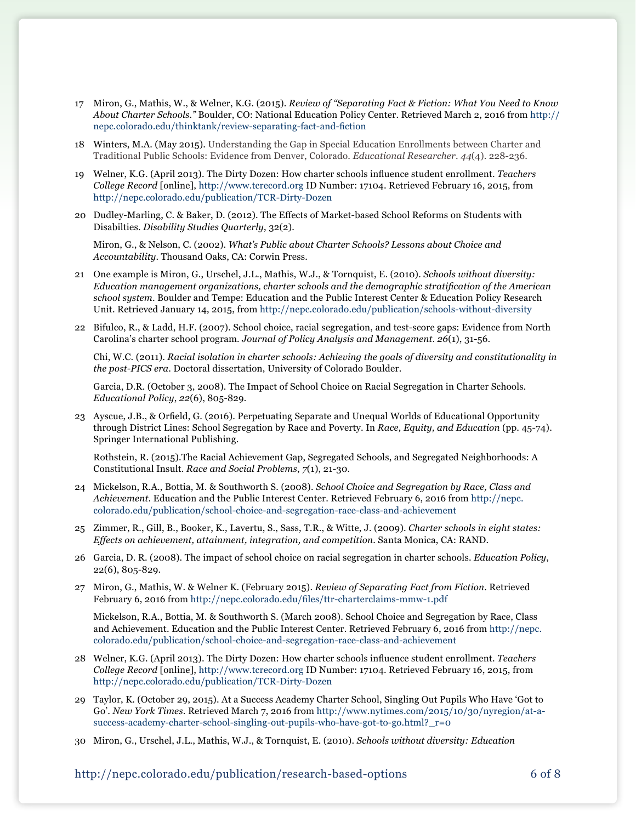- 17 Miron, G., Mathis, W., & Welner, K.G. (2015). *Review of "Separating Fact & Fiction: What You Need to Know About Charter Schools."* Boulder, CO: National Education Policy Center. Retrieved March 2, 2016 from [http://](http://nepc.colorado.edu/thinktank/review-separating-fact-and-fiction) [nepc.colorado.edu/thinktank/review-](http://nepc.colorado.edu/thinktank/review-separating-fact-and-fiction)separating-fact-and-fiction
- 18 Winters, M.A. (May 2015). Understanding the Gap in Special Education Enrollments between Charter and Traditional Public Schools: Evidence from Denver, Colorado. *Educational Researcher*. *44*(4). 228-236.
- 19 Welner, K.G. (April 2013). The Dirty Dozen: How charter schools influence student enrollment. *Teachers College Record* [online],<http://www.tcrecord.org> ID Number: 17104. Retrieved February 16, 2015, from [http://nepc.colorado.edu/publication/TCR](http://nepc.colorado.edu/publication/TCR-Dirty-Dozen)-Dirty-Dozen
- 20 Dudley-Marling, C. & Baker, D. (2012). The Effects of Market-based School Reforms on Students with Disabilties. *Disability Studies Quarterly*, 32(2).

Miron, G., & Nelson, C. (2002). *What's Public about Charter Schools? Lessons about Choice and Accountability*. Thousand Oaks, CA: Corwin Press.

- 21 One example is Miron, G., Urschel, J.L., Mathis, W.J., & Tornquist, E. (2010). *Schools without diversity: Education management organizations, charter schools and the demographic stratification of the American school system*. Boulder and Tempe: Education and the Public Interest Center & Education Policy Research Unit. Retrieved January 14, 2015, from [http://nepc.colorado.edu/publication/schools](http://nepc.colorado.edu/publication/schools-without-diversity)-without-diversity
- 22 Bifulco, R., & Ladd, H.F. (2007). School choice, racial segregation, and test-score gaps: Evidence from North Carolina's charter school program. *Journal of Policy Analysis and Management*. *26*(1), 31-56.

Chi, W.C. (2011). *Racial isolation in charter schools: Achieving the goals of diversity and constitutionality in the post-PICS era*. Doctoral dissertation, University of Colorado Boulder.

Garcia, D.R. (October 3, 2008). The Impact of School Choice on Racial Segregation in Charter Schools*. Educational Policy*, *22*(6), 805-829*.*

23 Ayscue, J.B., & Orfield, G. (2016). Perpetuating Separate and Unequal Worlds of Educational Opportunity through District Lines: School Segregation by Race and Poverty. In *Race, Equity, and Education* (pp. 45-74). Springer International Publishing.

Rothstein, R. (2015).The Racial Achievement Gap, Segregated Schools, and Segregated Neighborhoods: A Constitutional Insult. *Race and Social Problems*, *7*(1), 21-30.

- 24 Mickelson, R.A., Bottia, M. & Southworth S. (2008). *School Choice and Segregation by Race, Class and Achievement*. Education and the Public Interest Center. Retrieved February 6, 2016 from [http://nepc.](http://nepc.colorado.edu/publication/school-choice-and-segregation-race-class-and-achievement) [colorado.edu/publication/school-](http://nepc.colorado.edu/publication/school-choice-and-segregation-race-class-and-achievement)choice-and-segregation-race-class-and-achievement
- 25 Zimmer, R., Gill, B., Booker, K., Lavertu, S., Sass, T.R., & Witte, J. (2009). *Charter schools in eight states: Effects on achievement, attainment, integration, and competition*. Santa Monica, CA: RAND.
- 26 Garcia, D. R. (2008). The impact of school choice on racial segregation in charter schools. *Education Policy*, 22(6), 805-829.
- 27 Miron, G., Mathis, W. & Welner K. (February 2015). *Review of Separating Fact from Fiction.* Retrieved February 6, 2016 from <http://nepc.colorado.edu/files/ttr-charterclaims-mmw-1.pdf>

Mickelson, R.A., Bottia, M. & Southworth S. (March 2008). School Choice and Segregation by Race, Class and Achievement. Education and the Public Interest Center. Retrieved February 6, 2016 from [http://nepc.](http://nepc.colorado.edu/publication/school-choice-and-segregation-race-class-and-achievement
) [colorado.edu/publication/school-](http://nepc.colorado.edu/publication/school-choice-and-segregation-race-class-and-achievement
)choice-and-segregation-race-class-and-achievement

- 28 Welner, K.G. (April 2013). The Dirty Dozen: How charter schools influence student enrollment. *Teachers College Record* [online],<http://www.tcrecord.org> ID Number: 17104. Retrieved February 16, 2015, from [http://nepc.colorado.edu/publication/TCR](http://nepc.colorado.edu/publication/TCR-Dirty-Dozen)-Dirty-Dozen
- 29 Taylor, K. (October 29, 2015). At a Success Academy Charter School, Singling Out Pupils Who Have 'Got to Go'. *New York Times*. Retrieved March 7, 2016 from [http://www.nytimes.com/2015/10/30/nyregion/at-a](http://www.nytimes.com/2015/10/30/nyregion/at-a-success-academy-charter-school-singling-out-pupils-who-have-got-to-go.html?_r=0)success-academy-charter-school-singling-out-pupils-who-have-got-to-go.html? r=0
- 30 Miron, G., Urschel, J.L., Mathis, W.J., & Tornquist, E. (2010). *Schools without diversity: Education*

http://nepc.colorado.edu/publication/research-based-options 6 of 8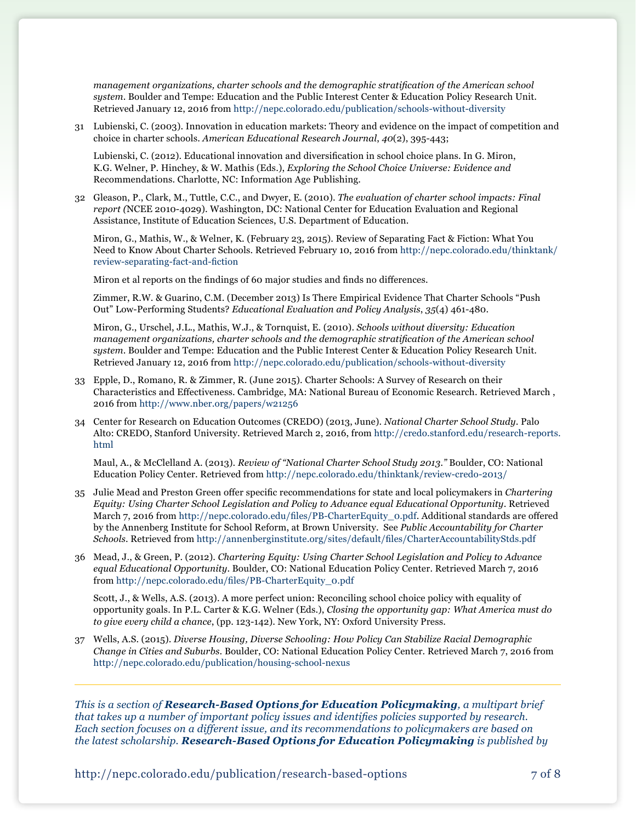*management organizations, charter schools and the demographic stratification of the American school system*. Boulder and Tempe: Education and the Public Interest Center & Education Policy Research Unit. Retrieved January 12, 2016 from [http://nepc.colorado.edu/publication/schools](http://nepc.colorado.edu/publication/schools-without-diversity)-without-diversity

31 Lubienski, C. (2003). Innovation in education markets: Theory and evidence on the impact of competition and choice in charter schools. *American Educational Research Journal*, *40*(2), 395-443;

Lubienski, C. (2012). Educational innovation and diversification in school choice plans. In G. Miron, K.G. Welner, P. Hinchey, & W. Mathis (Eds.), *Exploring the School Choice Universe: Evidence and*  Recommendations. Charlotte, NC: Information Age Publishing.

32 Gleason, P., Clark, M., Tuttle, C.C., and Dwyer, E. (2010). *The evaluation of charter school impacts: Final report (*NCEE 2010-4029). Washington, DC: National Center for Education Evaluation and Regional Assistance, Institute of Education Sciences, U.S. Department of Education.

[Miron](http://nepc.colorado.edu/author/miron-gary-0), G., [Mathis](http://nepc.colorado.edu/author/mathis-william-j), W., & [Welner,](http://nepc.colorado.edu/author/welner-kevin-g) K. (February 23, 2015). Review of [Separating Fact & Fiction: What You](file:http://nepc.colorado.edu/thinktank/review-separating-fact-and-fiction%20%0D)  [Need to Know About Charter Schools. Retrieved February 10, 2016 from http://nepc.colorado.edu/thinktank/](file:http://nepc.colorado.edu/thinktank/review-separating-fact-and-fiction%20%0D) [review-separating-fact-and-fiction](file:http://nepc.colorado.edu/thinktank/review-separating-fact-and-fiction%20%0D)

Miron et al reports on the findings of 60 major studies and finds no differences.

Zimmer, R.W. & Guarino, C.M. (December 2013) Is There Empirical Evidence That Charter Schools "Push Out" Low-Performing Students? *Educational Evaluation and Policy Analysis*, *35*(4) 461-480.

Miron, G., Urschel, J.L., Mathis, W.J., & Tornquist, E. (2010). *Schools without diversity: Education management organizations, charter schools and the demographic stratification of the American school system*. Boulder and Tempe: Education and the Public Interest Center & Education Policy Research Unit. Retrieved January 12, 2016 from [http://nepc.colorado.edu/publication/schools](http://nepc.colorado.edu/publication/schools-without-diversity)-without-diversity

- 33 Epple, D., Romano, R. & Zimmer, R. (June 2015). Charter Schools: A Survey of Research on their Characteristics and Effectiveness. Cambridge, MA: National Bureau of Economic Research. Retrieved March , 2016 from<http://www.nber.org/papers/w21256>
- 34 Center for Research on Education Outcomes (CREDO) (2013, June). *National Charter School Study*. Palo Alto: CREDO, Stanford University. Retrieved March 2, 2016, from [http://credo.stanford.edu/research-reports.](http://credo.stanford.edu/research-reports.html) [html](http://credo.stanford.edu/research-reports.html)

Maul, A., & McClelland A. (2013). *Review of "National Charter School Study 2013."* Boulder, CO: National Education Policy Center. Retrieved from [http://nepc.colorado.edu/thinktank/review-](http://nepc.colorado.edu/thinktank/review-credo-2013/)credo-2013/

- 35 Julie Mead and Preston Green offer specific recommendations for state and local policymakers in *Chartering Equity: Using Charter School Legislation and Policy to Advance equal Educational Opportunity*. Retrieved March 7, 2016 from [http://nepc.colorado.edu/files/PB-CharterEquity\\_0.pdf](http://nepc.colorado.edu/files/PB-CharterEquity_0.pdf). Additional standards are offered by the Annenberg Institute for School Reform, at Brown University. See *Public Accountability for Charter Schools*. Retrieved from <http://annenberginstitute.org/sites/default/files/CharterAccountabilityStds.pdf>
- 36 Mead, J., & Green, P. (2012). *Chartering Equity: Using Charter School Legislation and Policy to Advance equal Educational Opportunity*. Boulder, CO: National Education Policy Center. Retrieved March 7, 2016 from [http://nepc.colorado.edu/files/PB-CharterEquity\\_0.pdf](http://nepc.colorado.edu/files/PB-CharterEquity_0.pdf)

Scott, J., & Wells, A.S. (2013). A more perfect union: Reconciling school choice policy with equality of opportunity goals. In P.L. Carter & K.G. Welner (Eds.), *Closing the opportunity gap: What America must do to give every child a chance*, (pp. 123-142). New York, NY: Oxford University Press.

37 Wells, A.S. (2015). *Diverse Housing, Diverse Schooling: How Policy Can Stabilize Racial Demographic Change in Cities and Suburbs*. Boulder, CO: National Education Policy Center. Retrieved March 7, 2016 from [http://nepc.colorado.edu/publication/housing](http://nepc.colorado.edu/publication/housing-school-nexus)-school-nexus

*This is a section of Research-Based Options for Education Policymaking, a multipart brief that takes up a number of important policy issues and identifies policies supported by research. Each section focuses on a different issue, and its recommendations to policymakers are based on the latest scholarship. Research-Based Options for Education Policymaking is published by* 

http://nepc.colorado.edu/publication/research-based-options 7 of 8